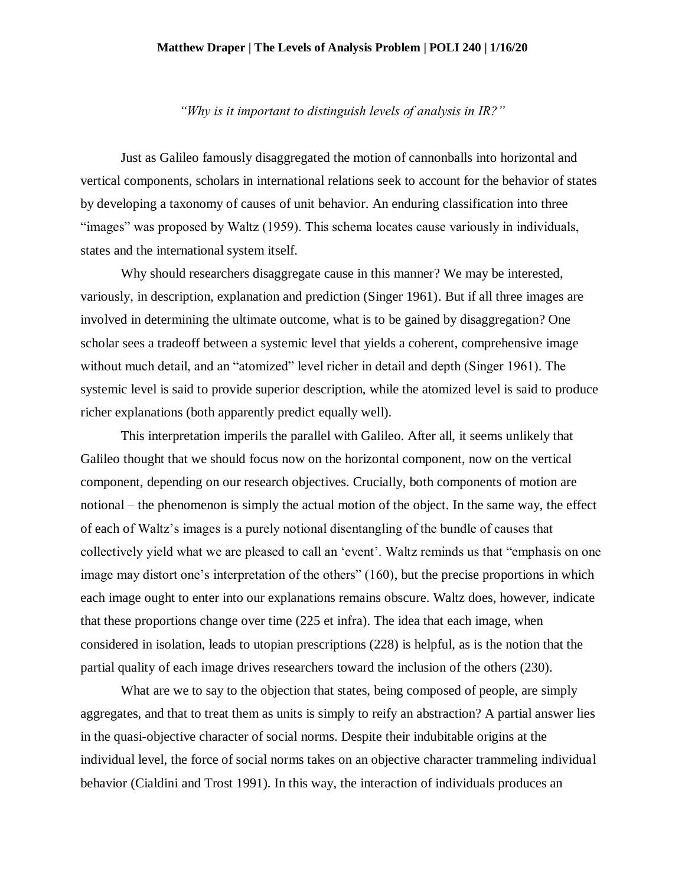## **Matthew Draper | The Levels of Analysis Problem | POLI 240 | 1/16/20**

*"Why is it important to distinguish levels of analysis in IR?"*

Just as Galileo famously disaggregated the motion of cannonballs into horizontal and vertical components, scholars in international relations seek to account for the behavior of states by developing a taxonomy of causes of unit behavior. An enduring classification into three "images" was proposed by Waltz (1959). This schema locates cause variously in individuals, states and the international system itself.

Why should researchers disaggregate cause in this manner? We may be interested, variously, in description, explanation and prediction (Singer 1961). But if all three images are involved in determining the ultimate outcome, what is to be gained by disaggregation? One scholar sees a tradeoff between a systemic level that yields a coherent, comprehensive image without much detail, and an "atomized" level richer in detail and depth (Singer 1961). The systemic level is said to provide superior description, while the atomized level is said to produce richer explanations (both apparently predict equally well).

This interpretation imperils the parallel with Galileo. After all, it seems unlikely that Galileo thought that we should focus now on the horizontal component, now on the vertical component, depending on our research objectives. Crucially, both components of motion are notional – the phenomenon is simply the actual motion of the object. In the same way, the effect of each of Waltz's images is a purely notional disentangling of the bundle of causes that collectively yield what we are pleased to call an 'event'. Waltz reminds us that "emphasis on one image may distort one's interpretation of the others" (160), but the precise proportions in which each image ought to enter into our explanations remains obscure. Waltz does, however, indicate that these proportions change over time (225 et infra). The idea that each image, when considered in isolation, leads to utopian prescriptions (228) is helpful, as is the notion that the partial quality of each image drives researchers toward the inclusion of the others (230).

What are we to say to the objection that states, being composed of people, are simply aggregates, and that to treat them as units is simply to reify an abstraction? A partial answer lies in the quasi-objective character of social norms. Despite their indubitable origins at the individual level, the force of social norms takes on an objective character trammeling individual behavior (Cialdini and Trost 1991). In this way, the interaction of individuals produces an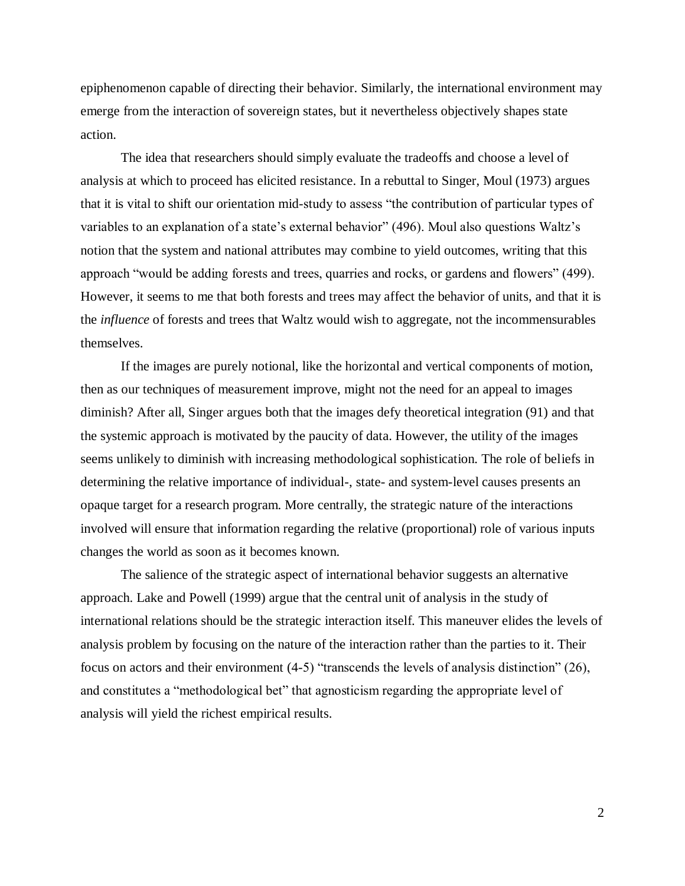epiphenomenon capable of directing their behavior. Similarly, the international environment may emerge from the interaction of sovereign states, but it nevertheless objectively shapes state action.

The idea that researchers should simply evaluate the tradeoffs and choose a level of analysis at which to proceed has elicited resistance. In a rebuttal to Singer, Moul (1973) argues that it is vital to shift our orientation mid-study to assess "the contribution of particular types of variables to an explanation of a state's external behavior" (496). Moul also questions Waltz's notion that the system and national attributes may combine to yield outcomes, writing that this approach "would be adding forests and trees, quarries and rocks, or gardens and flowers" (499). However, it seems to me that both forests and trees may affect the behavior of units, and that it is the *influence* of forests and trees that Waltz would wish to aggregate, not the incommensurables themselves.

If the images are purely notional, like the horizontal and vertical components of motion, then as our techniques of measurement improve, might not the need for an appeal to images diminish? After all, Singer argues both that the images defy theoretical integration (91) and that the systemic approach is motivated by the paucity of data. However, the utility of the images seems unlikely to diminish with increasing methodological sophistication. The role of beliefs in determining the relative importance of individual-, state- and system-level causes presents an opaque target for a research program. More centrally, the strategic nature of the interactions involved will ensure that information regarding the relative (proportional) role of various inputs changes the world as soon as it becomes known.

The salience of the strategic aspect of international behavior suggests an alternative approach. Lake and Powell (1999) argue that the central unit of analysis in the study of international relations should be the strategic interaction itself. This maneuver elides the levels of analysis problem by focusing on the nature of the interaction rather than the parties to it. Their focus on actors and their environment (4-5) "transcends the levels of analysis distinction" (26), and constitutes a "methodological bet" that agnosticism regarding the appropriate level of analysis will yield the richest empirical results.